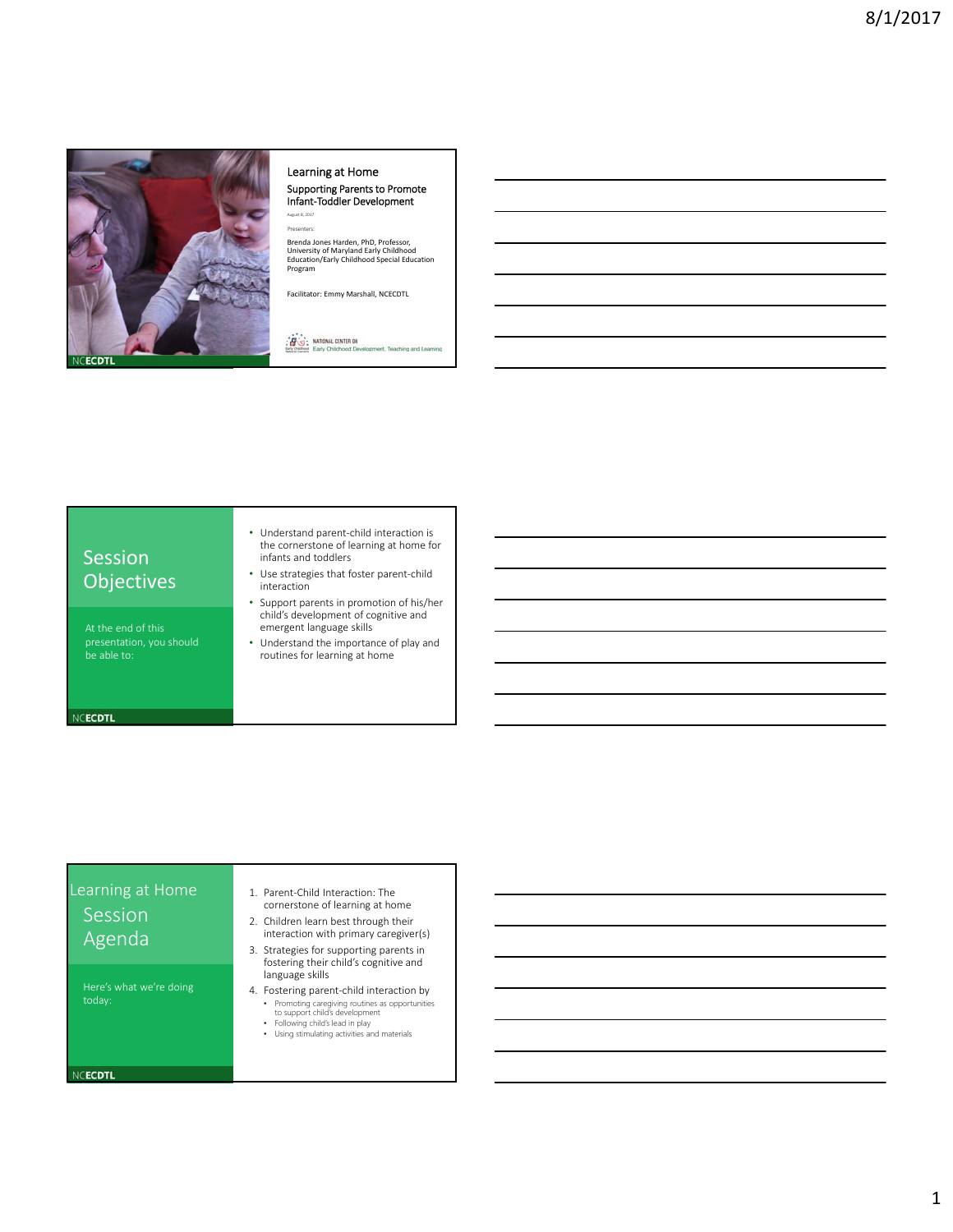

### Learning at Home Supporting Parents to Promote

Infant‐Toddler Development August 8, 2017 **Presenters** 

Brenda Jones Harden, PhD, Professor,<br>University of Maryland Early Childhood<br>Education/Early Childhood Special Education Program

Facilitator: Emmy Marshall, NCECDTL

**FO: NATIONAL CENTER ON** 

### Session **Objectives**

At the end of this be able to:

NCECDTL

- Understand parent‐child interaction is the cornerstone of learning at home for infants and toddlers
- Use strategies that foster parent‐child interaction
- Support parents in promotion of his/her child's development of cognitive and emergent language skills
- Understand the importance of play and routines for learning at home

## Learning at Home Session Agenda

Here's what we're doing

- 1. Parent‐Child Interaction: The cornerstone of learning at home
- 2. Children learn best through their interaction with primary caregiver(s)
- 3. Strategies for supporting parents in fostering their child's cognitive and language skills
- 4. Fostering parent‐child interaction by
	- Promoting caregiving routines as opportunities to support child's development Following child's lead in play
	-
	- Using stimulating activities and materials

NCECDTL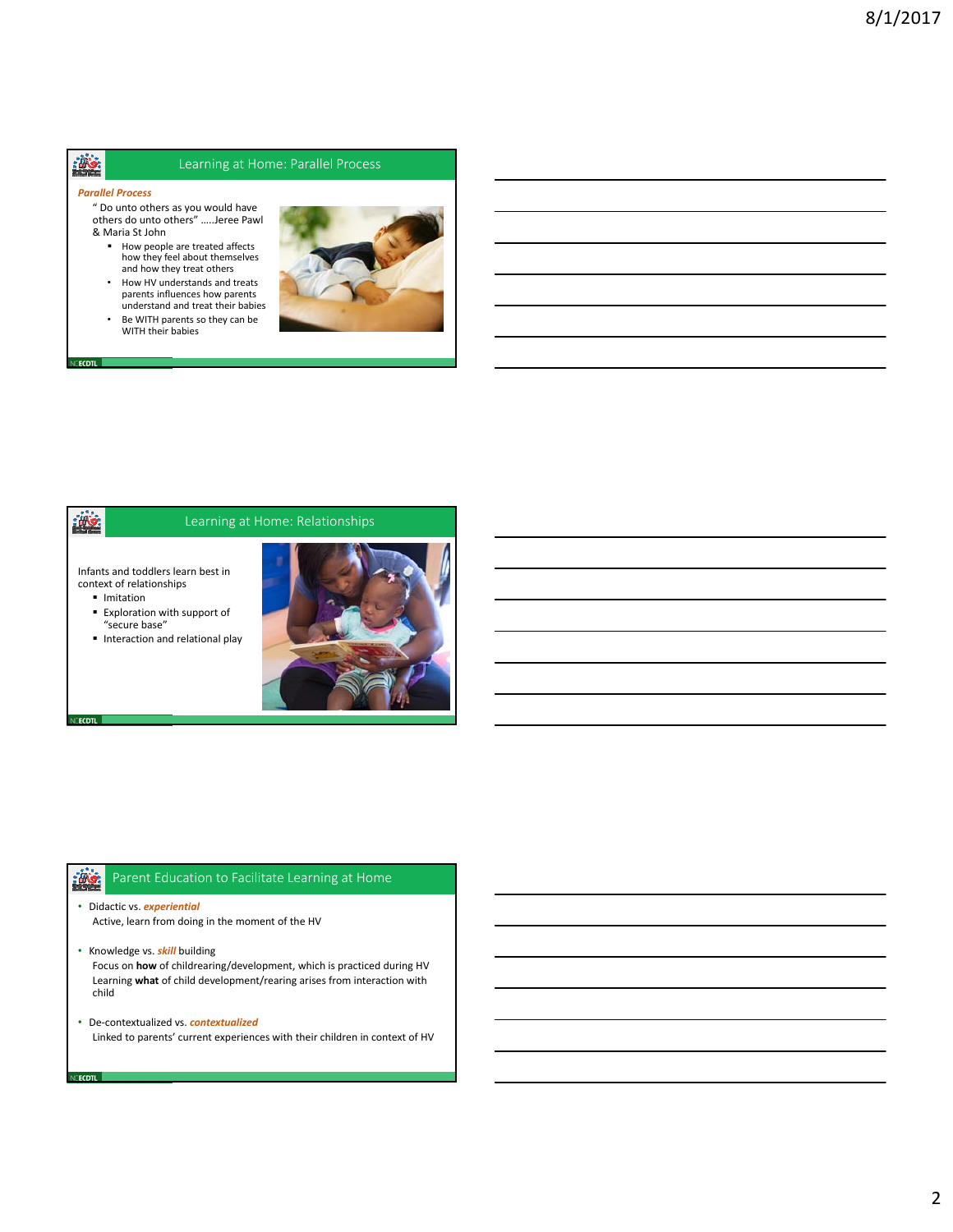# 邀

### Learning at Home: Parallel Process

#### *Parallel Process*

- " Do unto others as you would have others do unto others" …..Jeree Pawl & Maria St John
	- How people are treated affects how they feel about themselves and how they treat others
	- How HV understands and treats parents influences how parents understand and treat their babies
	- Be WITH parents so they can be WITH their babies



### **illy**

**CECDTL** 

NCECDTL **I** 

cecdtl I

### Learning at Home: Relationships

Infants and toddlers learn best in context of relationships

- **Imitation**
- Exploration with support of "secure base"
- **Interaction and relational play**



#### $\frac{1}{2}$ Parent Education to Facilitate Learning at Home

- Didactic vs. *experiential* Active, learn from doing in the moment of the HV
- Knowledge vs. *skill* building Focus on **how** of childrearing/development, which is practiced during HV Learning **what** of child development/rearing arises from interaction with child
- De‐contextualized vs. *contextualized* Linked to parents' current experiences with their children in context of HV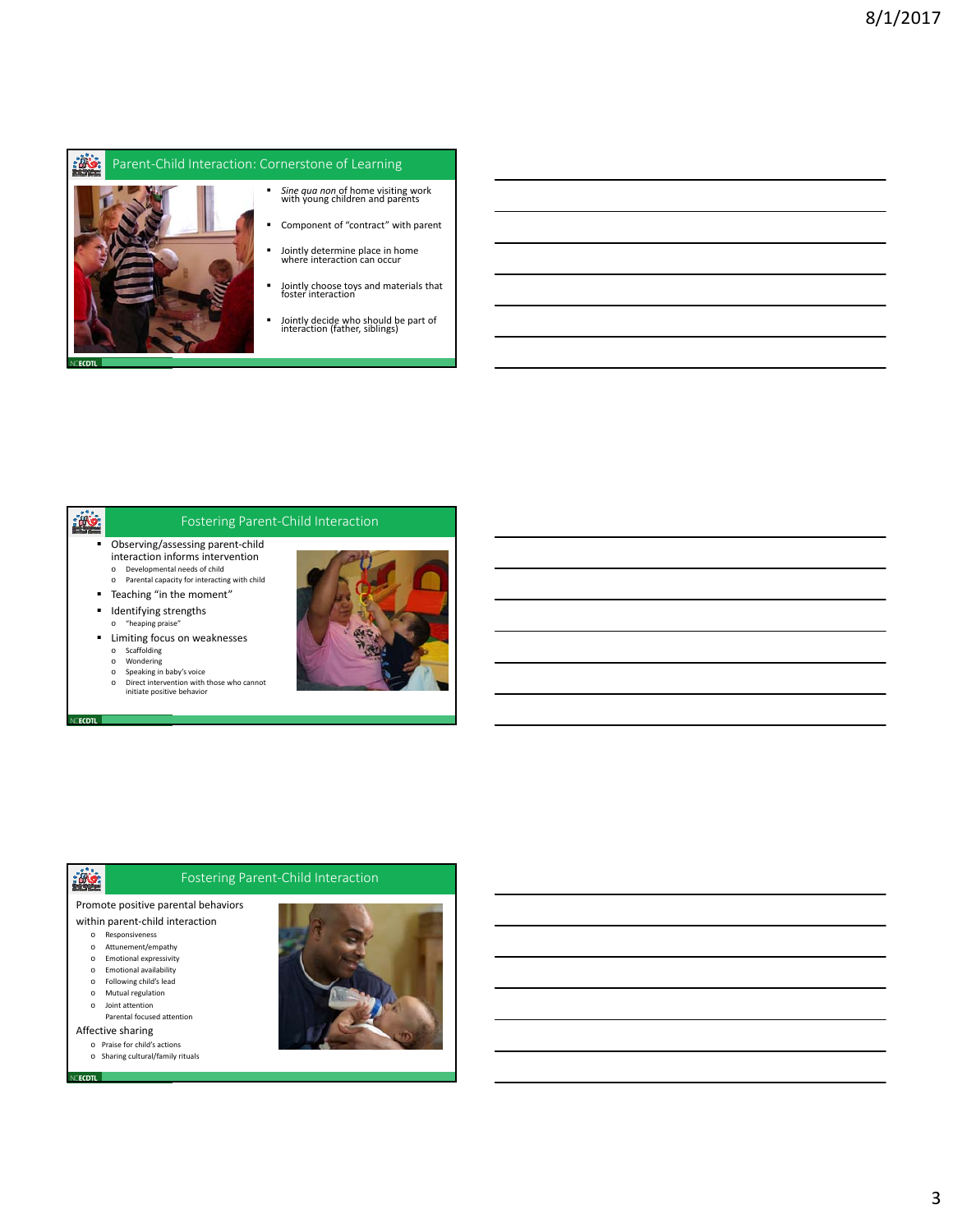#### **illion** Parent‐Child Interaction: Cornerstone of Learning



- *Sine qua non* of home visiting work with young children and parents
- Component of "contract" with parent
- Jointly determine place in home where interaction can occur
- Jointly choose toys and materials that foster interaction
- Jointly decide who should be part of interaction (father, siblings)

# ille.

**ECDTL** 

### Fostering Parent‐Child Interaction

- Observing/assessing parent-child interaction informs intervention
	- o Developmental needs of child o Parental capacity for interacting with child
- Teaching "in the moment"
- **I** Identifying strengths
- o "heaping praise" **E** Limiting focus on weaknesses o Scaffolding
	- o Wondering
	- o Speaking in baby's voice
	- o Direct intervention with those who cannot initiate positive behavior



### Fostering Parent‐Child Interaction

### Promote positive parental behaviors

- within parent‐child interaction
	- o Responsiveness o Attunement/empathy
	- o Emotional expressivity
	- o Emotional availability
	- o Following child's lead
	- o Mutual regulation
	- o Joint attention Parental focused attention

Affective sharing

**Vecdtl** 

- o Praise for child's actions
- o Sharing cultural/family rituals

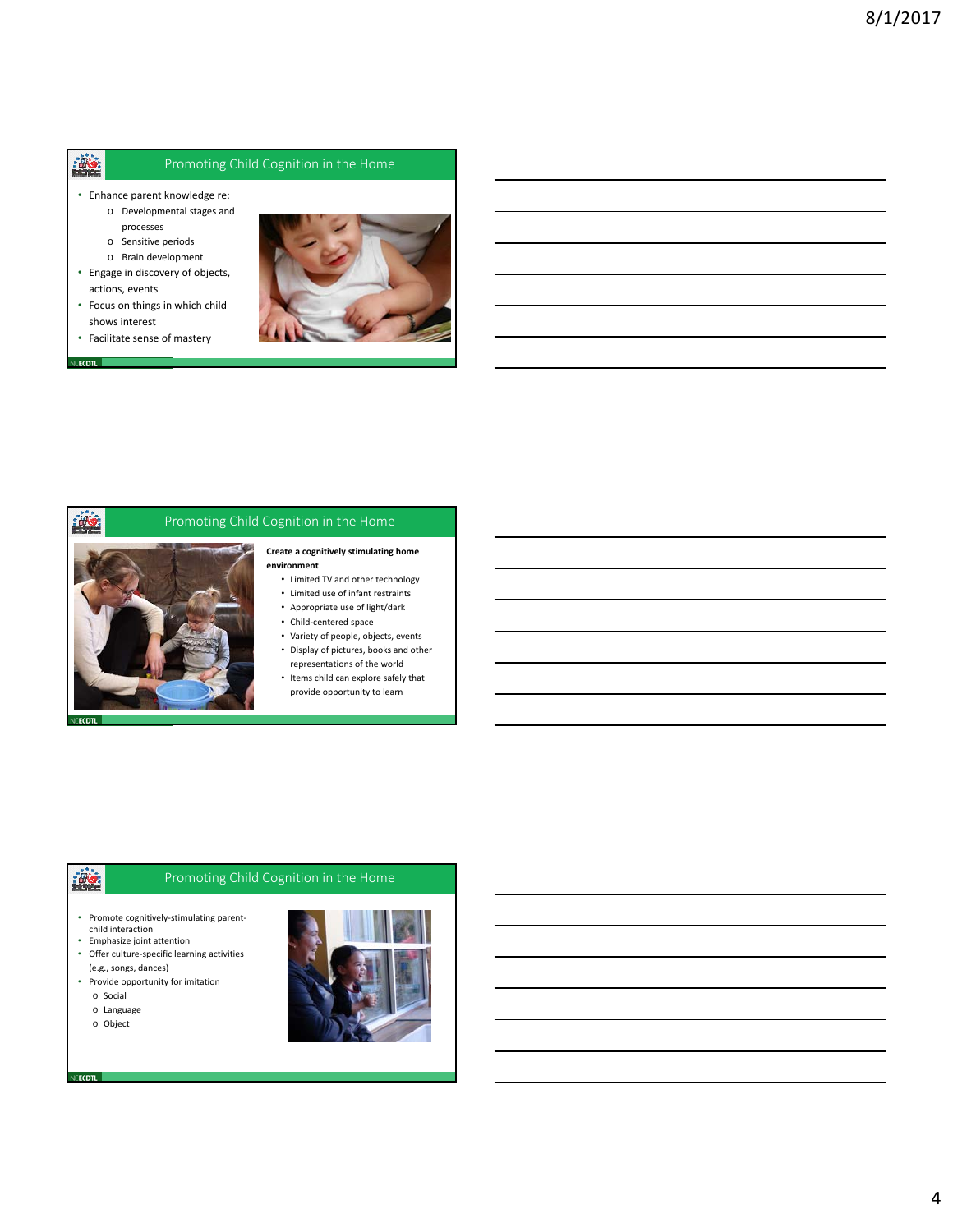### Promoting Child Cognition in the Home

- Enhance parent knowledge re:
	- o Developmental stages and
		- processes
	- o Sensitive periods
- o Brain development • Engage in discovery of objects,
- actions, events
- Focus on things in which child shows interest
- Facilitate sense of mastery



#### **VCECDTL**

激



### Promoting Child Cognition in the Home

#### **Create a cognitively stimulating home environment**

- Limited TV and other technology
- Limited use of infant restraints
- Appropriate use of light/dark
- Child‐centered space
- Variety of people, objects, events
- Display of pictures, books and other representations of the world
- Items child can explore safely that provide opportunity to learn

# 

### Promoting Child Cognition in the Home

- Promote cognitively‐stimulating parent‐ child interaction
- Emphasize joint attention
- Offer culture‐specific learning activities (e.g., songs, dances)
- Provide opportunity for imitation
	- o Social
	- o Language
	- o Object

NCECDTL

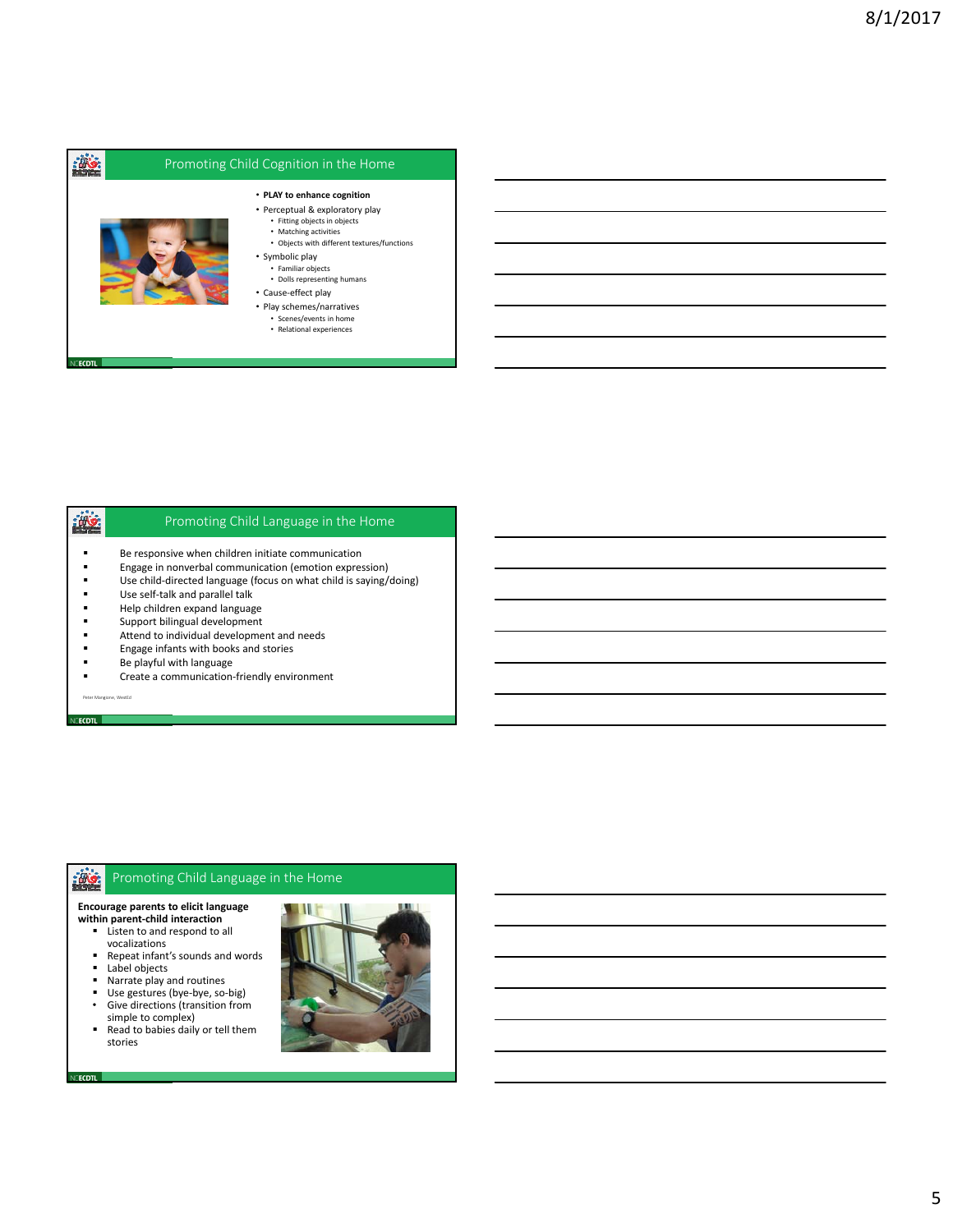

# ille

### Promoting Child Language in the Home

- **Be responsive when children initiate communication**<br>**Example in nonverbal communication (emotion express)**
- **Engage in nonverbal communication (emotion expression)**<br> **Example:** Lise child-directed language (focus on what child is saving/
- Use child‐directed language (focus on what child is saying/doing)
- Use self-talk and parallel talk<br>■ Help children expand languag
- **Help children expand language**<br>
Support bilingual development
- Support bilingual development
- **Attend to individual development and needs**<br>**Example 1** Engage infants with books and stories
- **Engage infants with books and stories**<br>**EXECUTE:** Be playful with language
- Be playful with language
- Create a communication-friendly environment

Peter Mangione, WestEd

**CECDTL** 

NCECDTL **I** 

#### $\frac{1}{2}$ Promoting Child Language in the Home

### **Encourage parents to elicit language**

- **within parent‐child interaction Listen to and respond to all** 
	- vocalizations
	- Repeat infant's sounds and words
	- Label objects
	- Narrate play and routines
	- Use gestures (bye‐bye, so‐big)
	- Give directions (transition from simple to complex)
	- Read to babies daily or tell them stories

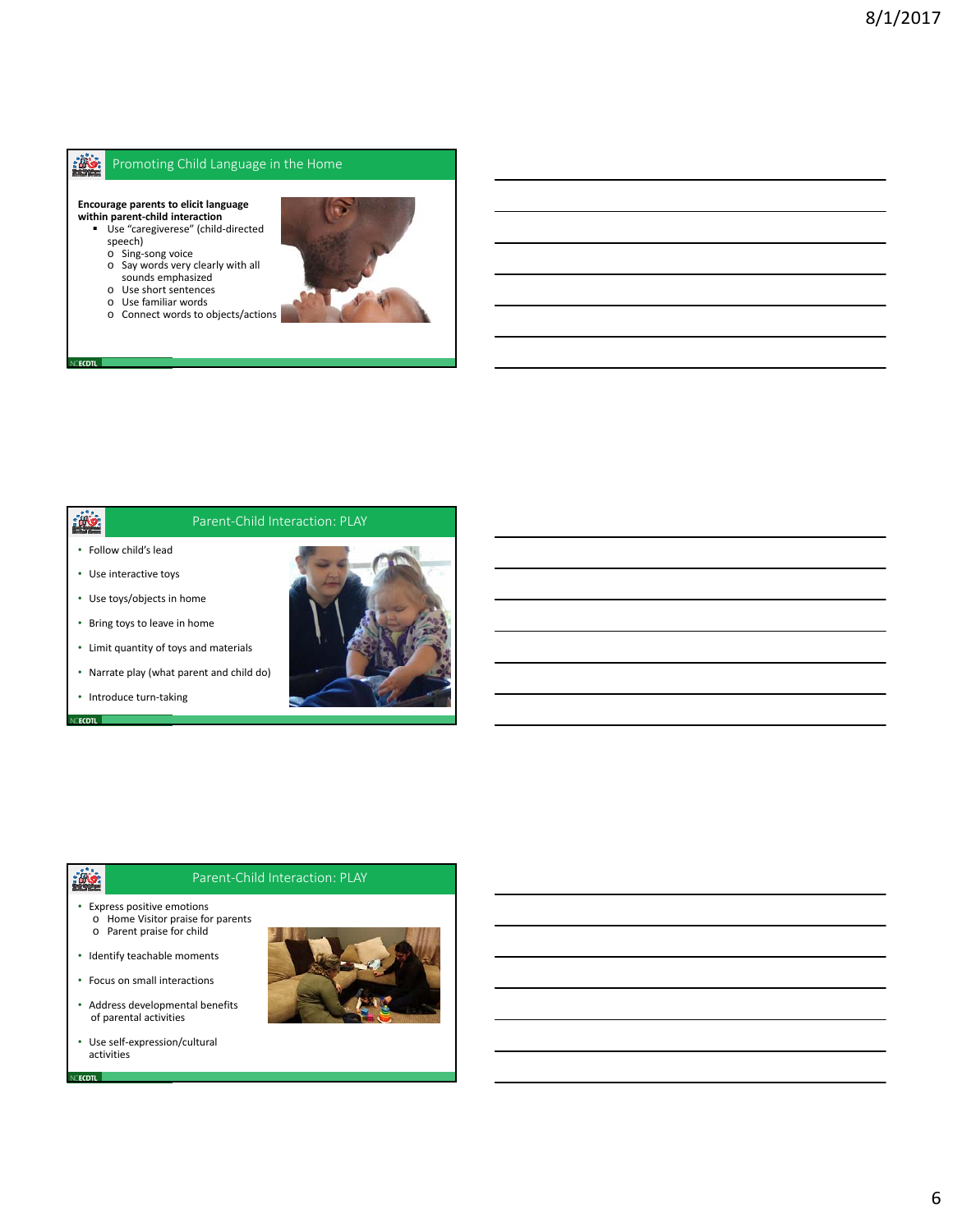#### **illion** Promoting Child Language in the Home

**Encourage parents to elicit language** 

- **within parent-child interaction**<br>Use "caregiverese" (child-directed speech)
	- o Sing‐song voice o Say words very clearly with all
	- sounds emphasized
	- o Use short sentences o Use familiar words
	-
	- o Connect words to objects/actions



### **illy**

**CECDTL** 

### Parent‐Child Interaction: PLAY

- Follow child's lead
- Use interactive toys
- Use toys/objects in home
- Bring toys to leave in home
- Limit quantity of toys and materials
- Narrate play (what parent and child do)
- Introduce turn‐taking



# **ikg**

**CECDTL** 

VE<mark>ecdtl</mark>

#### Parent‐Child Interaction: PLAY

- Express positive emotions o Home Visitor praise for parents o Parent praise for child
- Identify teachable moments
- Focus on small interactions
- Address developmental benefits of parental activities
- Use self‐expression/cultural activities

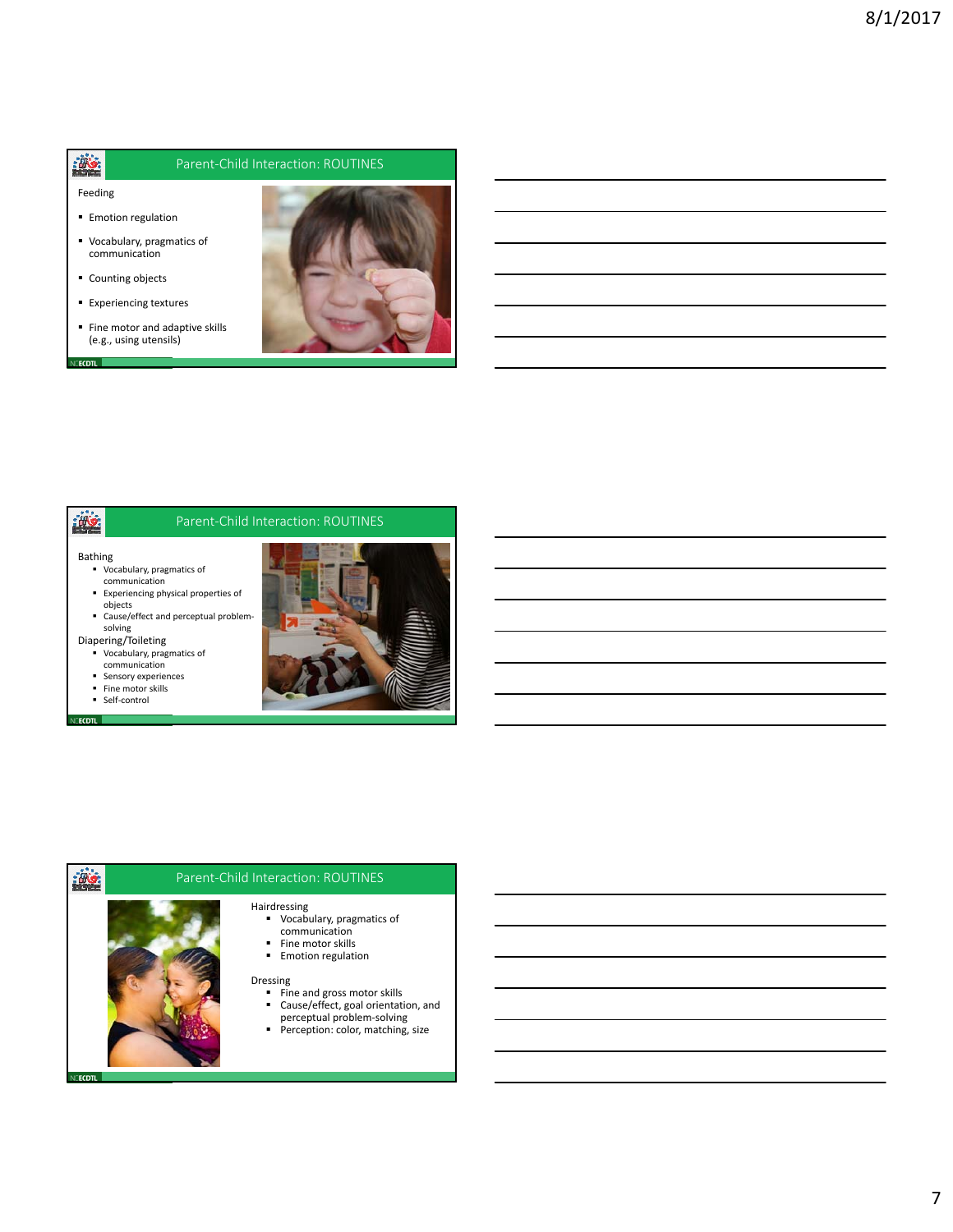### Parent‐Child Interaction: ROUTINES

Feeding

**CECDTL** 

灣

**ALC** 

- **Emotion regulation**
- Vocabulary, pragmatics of communication
- Counting objects
- **Experiencing textures**
- Fine motor and adaptive skills (e.g., using utensils)



### Parent‐Child Interaction: ROUTINES

- Bathing Vocabulary, pragmatics of communication
	- Experiencing physical properties of objects
- Cause/effect and perceptual problem‐ solving Diapering/Toileting

Vocabulary, pragmatics of

- communication
- **Sensory experiences**
- **Fine motor skills** ■ Self-control
- **CECDTL**



# $\frac{1}{2}$

**ECDTL** 

# Parent‐Child Interaction: ROUTINES

- Hairdressing Vocabulary, pragmatics of communication
	- **Fine motor skills**
	- **Emotion regulation**

#### Dressing

- Fine and gross motor skills **Cause/effect, goal orientation, and**
- perceptual problem‐solving **Perception: color, matching, size**